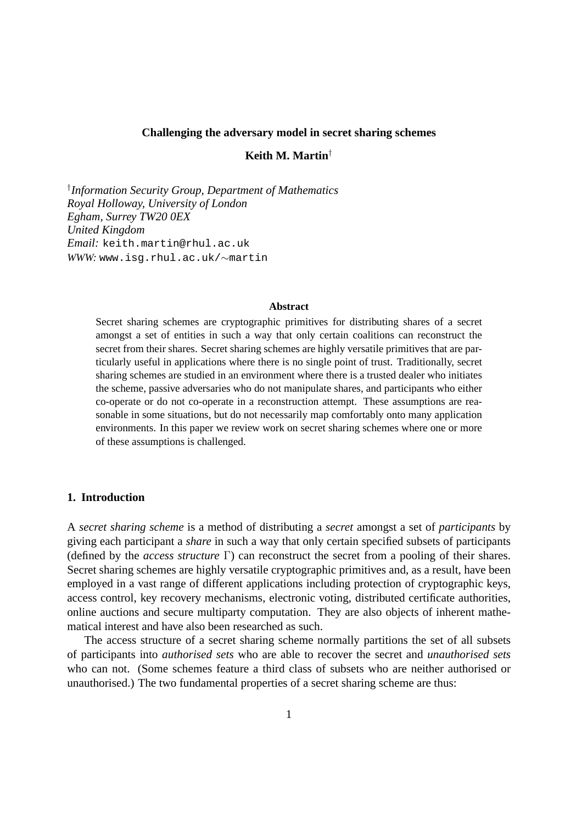### **Challenging the adversary model in secret sharing schemes**

# **Keith M. Martin**†

† *Information Security Group, Department of Mathematics Royal Holloway, University of London Egham, Surrey TW20 0EX United Kingdom Email:* keith.martin@rhul.ac.uk *WWW:* www.isg.rhul.ac.uk/∼martin

#### **Abstract**

Secret sharing schemes are cryptographic primitives for distributing shares of a secret amongst a set of entities in such a way that only certain coalitions can reconstruct the secret from their shares. Secret sharing schemes are highly versatile primitives that are particularly useful in applications where there is no single point of trust. Traditionally, secret sharing schemes are studied in an environment where there is a trusted dealer who initiates the scheme, passive adversaries who do not manipulate shares, and participants who either co-operate or do not co-operate in a reconstruction attempt. These assumptions are reasonable in some situations, but do not necessarily map comfortably onto many application environments. In this paper we review work on secret sharing schemes where one or more of these assumptions is challenged.

### **1. Introduction**

A *secret sharing scheme* is a method of distributing a *secret* amongst a set of *participants* by giving each participant a *share* in such a way that only certain specified subsets of participants (defined by the *access structure* Γ) can reconstruct the secret from a pooling of their shares. Secret sharing schemes are highly versatile cryptographic primitives and, as a result, have been employed in a vast range of different applications including protection of cryptographic keys, access control, key recovery mechanisms, electronic voting, distributed certificate authorities, online auctions and secure multiparty computation. They are also objects of inherent mathematical interest and have also been researched as such.

The access structure of a secret sharing scheme normally partitions the set of all subsets of participants into *authorised sets* who are able to recover the secret and *unauthorised sets* who can not. (Some schemes feature a third class of subsets who are neither authorised or unauthorised.) The two fundamental properties of a secret sharing scheme are thus: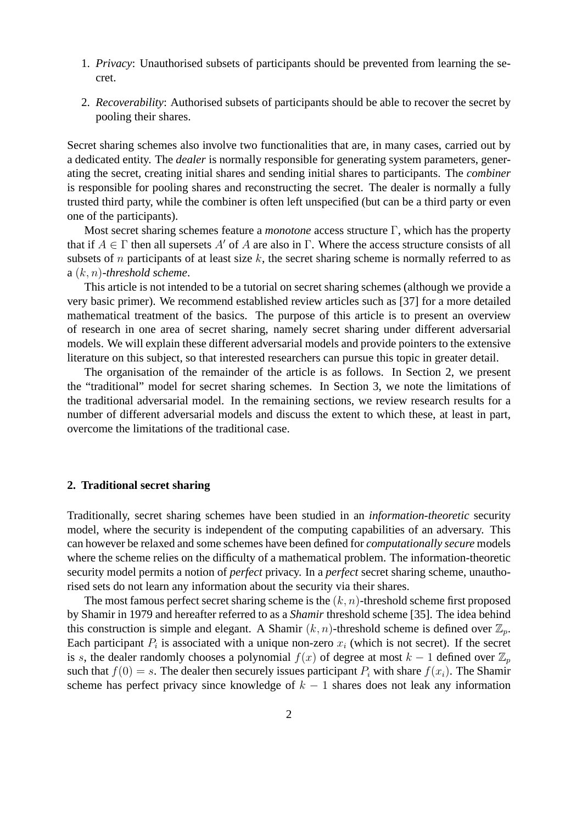- 1. *Privacy*: Unauthorised subsets of participants should be prevented from learning the secret.
- 2. *Recoverability*: Authorised subsets of participants should be able to recover the secret by pooling their shares.

Secret sharing schemes also involve two functionalities that are, in many cases, carried out by a dedicated entity. The *dealer* is normally responsible for generating system parameters, generating the secret, creating initial shares and sending initial shares to participants. The *combiner* is responsible for pooling shares and reconstructing the secret. The dealer is normally a fully trusted third party, while the combiner is often left unspecified (but can be a third party or even one of the participants).

Most secret sharing schemes feature a *monotone* access structure Γ, which has the property that if  $A \in \Gamma$  then all supersets A' of A are also in  $\Gamma$ . Where the access structure consists of all subsets of n participants of at least size  $k$ , the secret sharing scheme is normally referred to as a (k, n)*-threshold scheme*.

This article is not intended to be a tutorial on secret sharing schemes (although we provide a very basic primer). We recommend established review articles such as [37] for a more detailed mathematical treatment of the basics. The purpose of this article is to present an overview of research in one area of secret sharing, namely secret sharing under different adversarial models. We will explain these different adversarial models and provide pointers to the extensive literature on this subject, so that interested researchers can pursue this topic in greater detail.

The organisation of the remainder of the article is as follows. In Section 2, we present the "traditional" model for secret sharing schemes. In Section 3, we note the limitations of the traditional adversarial model. In the remaining sections, we review research results for a number of different adversarial models and discuss the extent to which these, at least in part, overcome the limitations of the traditional case.

#### **2. Traditional secret sharing**

Traditionally, secret sharing schemes have been studied in an *information-theoretic* security model, where the security is independent of the computing capabilities of an adversary. This can however be relaxed and some schemes have been defined for *computationally secure* models where the scheme relies on the difficulty of a mathematical problem. The information-theoretic security model permits a notion of *perfect* privacy. In a *perfect* secret sharing scheme, unauthorised sets do not learn any information about the security via their shares.

The most famous perfect secret sharing scheme is the  $(k, n)$ -threshold scheme first proposed by Shamir in 1979 and hereafter referred to as a *Shamir* threshold scheme [35]. The idea behind this construction is simple and elegant. A Shamir  $(k, n)$ -threshold scheme is defined over  $\mathbb{Z}_p$ . Each participant  $P_i$  is associated with a unique non-zero  $x_i$  (which is not secret). If the secret is s, the dealer randomly chooses a polynomial  $f(x)$  of degree at most  $k - 1$  defined over  $\mathbb{Z}_p$ such that  $f(0) = s$ . The dealer then securely issues participant  $P_i$  with share  $f(x_i)$ . The Shamir scheme has perfect privacy since knowledge of  $k - 1$  shares does not leak any information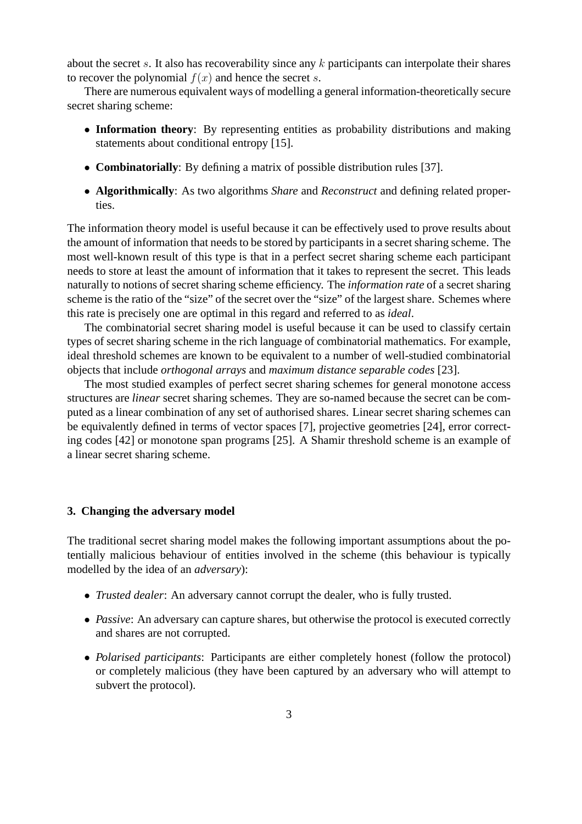about the secret s. It also has recoverability since any k participants can interpolate their shares to recover the polynomial  $f(x)$  and hence the secret s.

There are numerous equivalent ways of modelling a general information-theoretically secure secret sharing scheme:

- **Information theory**: By representing entities as probability distributions and making statements about conditional entropy [15].
- **Combinatorially**: By defining a matrix of possible distribution rules [37].
- **Algorithmically**: As two algorithms *Share* and *Reconstruct* and defining related properties.

The information theory model is useful because it can be effectively used to prove results about the amount of information that needs to be stored by participants in a secret sharing scheme. The most well-known result of this type is that in a perfect secret sharing scheme each participant needs to store at least the amount of information that it takes to represent the secret. This leads naturally to notions of secret sharing scheme efficiency. The *information rate* of a secret sharing scheme is the ratio of the "size" of the secret over the "size" of the largest share. Schemes where this rate is precisely one are optimal in this regard and referred to as *ideal*.

The combinatorial secret sharing model is useful because it can be used to classify certain types of secret sharing scheme in the rich language of combinatorial mathematics. For example, ideal threshold schemes are known to be equivalent to a number of well-studied combinatorial objects that include *orthogonal arrays* and *maximum distance separable codes* [23].

The most studied examples of perfect secret sharing schemes for general monotone access structures are *linear* secret sharing schemes. They are so-named because the secret can be computed as a linear combination of any set of authorised shares. Linear secret sharing schemes can be equivalently defined in terms of vector spaces [7], projective geometries [24], error correcting codes [42] or monotone span programs [25]. A Shamir threshold scheme is an example of a linear secret sharing scheme.

## **3. Changing the adversary model**

The traditional secret sharing model makes the following important assumptions about the potentially malicious behaviour of entities involved in the scheme (this behaviour is typically modelled by the idea of an *adversary*):

- *Trusted dealer*: An adversary cannot corrupt the dealer, who is fully trusted.
- *Passive*: An adversary can capture shares, but otherwise the protocol is executed correctly and shares are not corrupted.
- *Polarised participants*: Participants are either completely honest (follow the protocol) or completely malicious (they have been captured by an adversary who will attempt to subvert the protocol).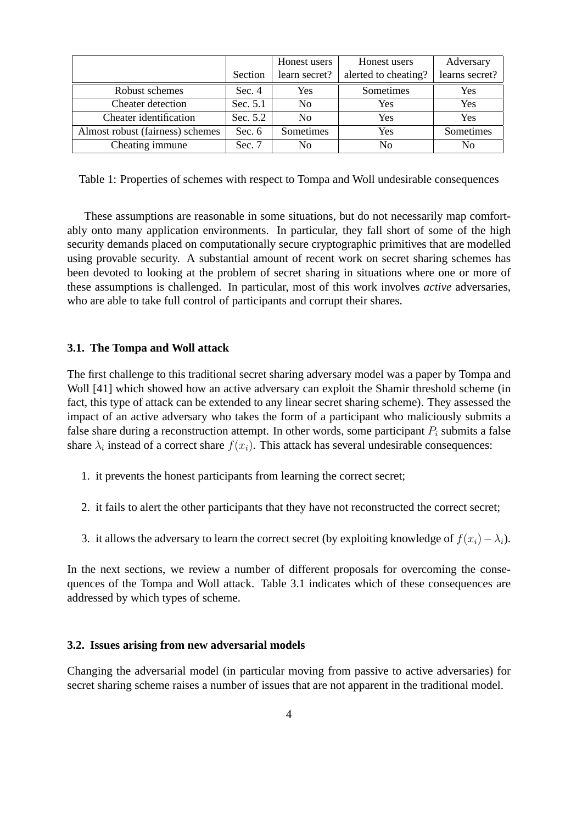|                                  |          | Honest users   | Honest users         | Adversary      |
|----------------------------------|----------|----------------|----------------------|----------------|
|                                  | Section  | learn secret?  | alerted to cheating? | learns secret? |
| Robust schemes                   | Sec.4    | Yes            | Sometimes            | Yes            |
| Cheater detection                | Sec. 5.1 | N <sub>0</sub> | Yes                  | Yes            |
| Cheater identification           | Sec. 5.2 | N <sub>0</sub> | Yes                  | Yes            |
| Almost robust (fairness) schemes | Sec. $6$ | Sometimes      | Yes                  | Sometimes      |
| Cheating immune                  | Sec. $7$ | N <sub>0</sub> | N <sub>0</sub>       | N <sub>0</sub> |

Table 1: Properties of schemes with respect to Tompa and Woll undesirable consequences

These assumptions are reasonable in some situations, but do not necessarily map comfortably onto many application environments. In particular, they fall short of some of the high security demands placed on computationally secure cryptographic primitives that are modelled using provable security. A substantial amount of recent work on secret sharing schemes has been devoted to looking at the problem of secret sharing in situations where one or more of these assumptions is challenged. In particular, most of this work involves *active* adversaries, who are able to take full control of participants and corrupt their shares.

#### **3.1. The Tompa and Woll attack**

The first challenge to this traditional secret sharing adversary model was a paper by Tompa and Woll [41] which showed how an active adversary can exploit the Shamir threshold scheme (in fact, this type of attack can be extended to any linear secret sharing scheme). They assessed the impact of an active adversary who takes the form of a participant who maliciously submits a false share during a reconstruction attempt. In other words, some participant  $P_i$  submits a false share  $\lambda_i$  instead of a correct share  $f(x_i)$ . This attack has several undesirable consequences:

- 1. it prevents the honest participants from learning the correct secret;
- 2. it fails to alert the other participants that they have not reconstructed the correct secret;
- 3. it allows the adversary to learn the correct secret (by exploiting knowledge of  $f(x_i) \lambda_i$ ).

In the next sections, we review a number of different proposals for overcoming the consequences of the Tompa and Woll attack. Table 3.1 indicates which of these consequences are addressed by which types of scheme.

### **3.2. Issues arising from new adversarial models**

Changing the adversarial model (in particular moving from passive to active adversaries) for secret sharing scheme raises a number of issues that are not apparent in the traditional model.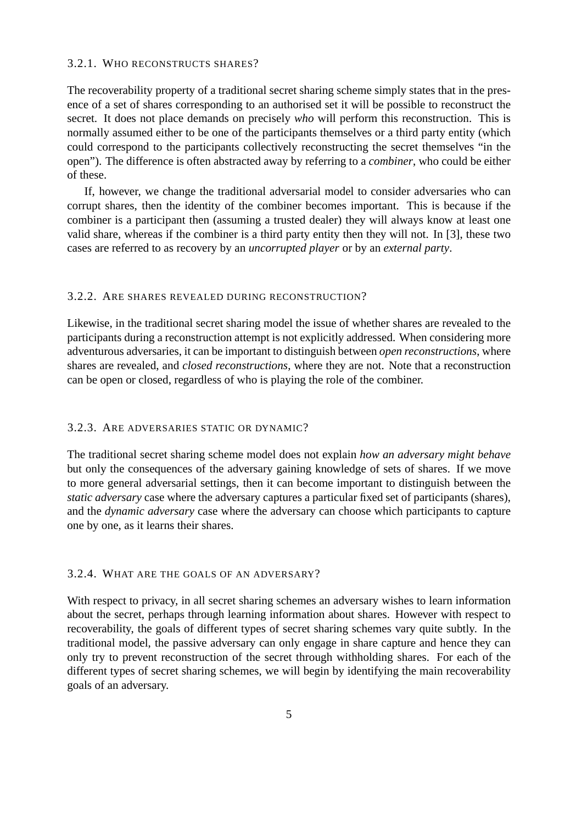## 3.2.1. WHO RECONSTRUCTS SHARES?

The recoverability property of a traditional secret sharing scheme simply states that in the presence of a set of shares corresponding to an authorised set it will be possible to reconstruct the secret. It does not place demands on precisely *who* will perform this reconstruction. This is normally assumed either to be one of the participants themselves or a third party entity (which could correspond to the participants collectively reconstructing the secret themselves "in the open"). The difference is often abstracted away by referring to a *combiner*, who could be either of these.

If, however, we change the traditional adversarial model to consider adversaries who can corrupt shares, then the identity of the combiner becomes important. This is because if the combiner is a participant then (assuming a trusted dealer) they will always know at least one valid share, whereas if the combiner is a third party entity then they will not. In [3], these two cases are referred to as recovery by an *uncorrupted player* or by an *external party*.

#### 3.2.2. ARE SHARES REVEALED DURING RECONSTRUCTION?

Likewise, in the traditional secret sharing model the issue of whether shares are revealed to the participants during a reconstruction attempt is not explicitly addressed. When considering more adventurous adversaries, it can be important to distinguish between *open reconstructions*, where shares are revealed, and *closed reconstructions*, where they are not. Note that a reconstruction can be open or closed, regardless of who is playing the role of the combiner.

#### 3.2.3. ARE ADVERSARIES STATIC OR DYNAMIC?

The traditional secret sharing scheme model does not explain *how an adversary might behave* but only the consequences of the adversary gaining knowledge of sets of shares. If we move to more general adversarial settings, then it can become important to distinguish between the *static adversary* case where the adversary captures a particular fixed set of participants (shares), and the *dynamic adversary* case where the adversary can choose which participants to capture one by one, as it learns their shares.

## 3.2.4. WHAT ARE THE GOALS OF AN ADVERSARY?

With respect to privacy, in all secret sharing schemes an adversary wishes to learn information about the secret, perhaps through learning information about shares. However with respect to recoverability, the goals of different types of secret sharing schemes vary quite subtly. In the traditional model, the passive adversary can only engage in share capture and hence they can only try to prevent reconstruction of the secret through withholding shares. For each of the different types of secret sharing schemes, we will begin by identifying the main recoverability goals of an adversary.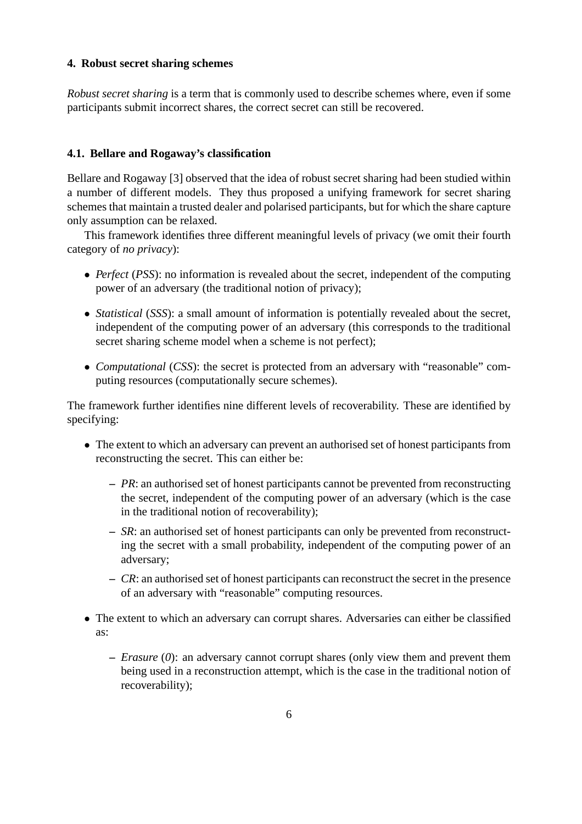# **4. Robust secret sharing schemes**

*Robust secret sharing* is a term that is commonly used to describe schemes where, even if some participants submit incorrect shares, the correct secret can still be recovered.

# **4.1. Bellare and Rogaway's classification**

Bellare and Rogaway [3] observed that the idea of robust secret sharing had been studied within a number of different models. They thus proposed a unifying framework for secret sharing schemes that maintain a trusted dealer and polarised participants, but for which the share capture only assumption can be relaxed.

This framework identifies three different meaningful levels of privacy (we omit their fourth category of *no privacy*):

- *Perfect* (*PSS*): no information is revealed about the secret, independent of the computing power of an adversary (the traditional notion of privacy);
- *Statistical* (*SSS*): a small amount of information is potentially revealed about the secret, independent of the computing power of an adversary (this corresponds to the traditional secret sharing scheme model when a scheme is not perfect);
- *Computational* (*CSS*): the secret is protected from an adversary with "reasonable" computing resources (computationally secure schemes).

The framework further identifies nine different levels of recoverability. These are identified by specifying:

- The extent to which an adversary can prevent an authorised set of honest participants from reconstructing the secret. This can either be:
	- **–** *PR*: an authorised set of honest participants cannot be prevented from reconstructing the secret, independent of the computing power of an adversary (which is the case in the traditional notion of recoverability);
	- **–** *SR*: an authorised set of honest participants can only be prevented from reconstructing the secret with a small probability, independent of the computing power of an adversary;
	- **–** *CR*: an authorised set of honest participants can reconstruct the secret in the presence of an adversary with "reasonable" computing resources.
- The extent to which an adversary can corrupt shares. Adversaries can either be classified as:
	- **–** *Erasure* (*0*): an adversary cannot corrupt shares (only view them and prevent them being used in a reconstruction attempt, which is the case in the traditional notion of recoverability);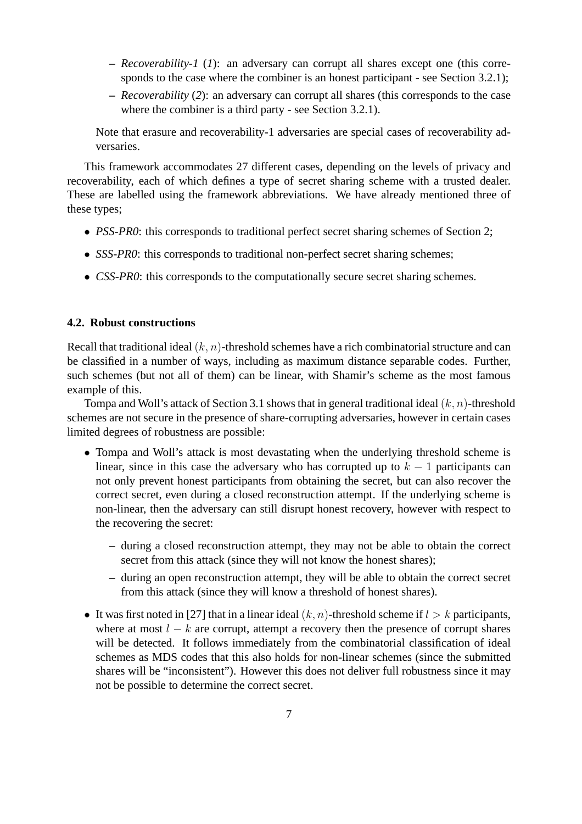- **–** *Recoverability-1* (*1*): an adversary can corrupt all shares except one (this corresponds to the case where the combiner is an honest participant - see Section 3.2.1);
- **–** *Recoverability* (*2*): an adversary can corrupt all shares (this corresponds to the case where the combiner is a third party - see Section 3.2.1).

Note that erasure and recoverability-1 adversaries are special cases of recoverability adversaries.

This framework accommodates 27 different cases, depending on the levels of privacy and recoverability, each of which defines a type of secret sharing scheme with a trusted dealer. These are labelled using the framework abbreviations. We have already mentioned three of these types;

- *PSS-PR0*: this corresponds to traditional perfect secret sharing schemes of Section 2;
- *SSS-PR0*: this corresponds to traditional non-perfect secret sharing schemes;
- *CSS-PR0*: this corresponds to the computationally secure secret sharing schemes.

# **4.2. Robust constructions**

Recall that traditional ideal  $(k, n)$ -threshold schemes have a rich combinatorial structure and can be classified in a number of ways, including as maximum distance separable codes. Further, such schemes (but not all of them) can be linear, with Shamir's scheme as the most famous example of this.

Tompa and Woll's attack of Section 3.1 shows that in general traditional ideal  $(k, n)$ -threshold schemes are not secure in the presence of share-corrupting adversaries, however in certain cases limited degrees of robustness are possible:

- Tompa and Woll's attack is most devastating when the underlying threshold scheme is linear, since in this case the adversary who has corrupted up to  $k - 1$  participants can not only prevent honest participants from obtaining the secret, but can also recover the correct secret, even during a closed reconstruction attempt. If the underlying scheme is non-linear, then the adversary can still disrupt honest recovery, however with respect to the recovering the secret:
	- **–** during a closed reconstruction attempt, they may not be able to obtain the correct secret from this attack (since they will not know the honest shares);
	- **–** during an open reconstruction attempt, they will be able to obtain the correct secret from this attack (since they will know a threshold of honest shares).
- It was first noted in [27] that in a linear ideal  $(k, n)$ -threshold scheme if  $l > k$  participants, where at most  $l - k$  are corrupt, attempt a recovery then the presence of corrupt shares will be detected. It follows immediately from the combinatorial classification of ideal schemes as MDS codes that this also holds for non-linear schemes (since the submitted shares will be "inconsistent"). However this does not deliver full robustness since it may not be possible to determine the correct secret.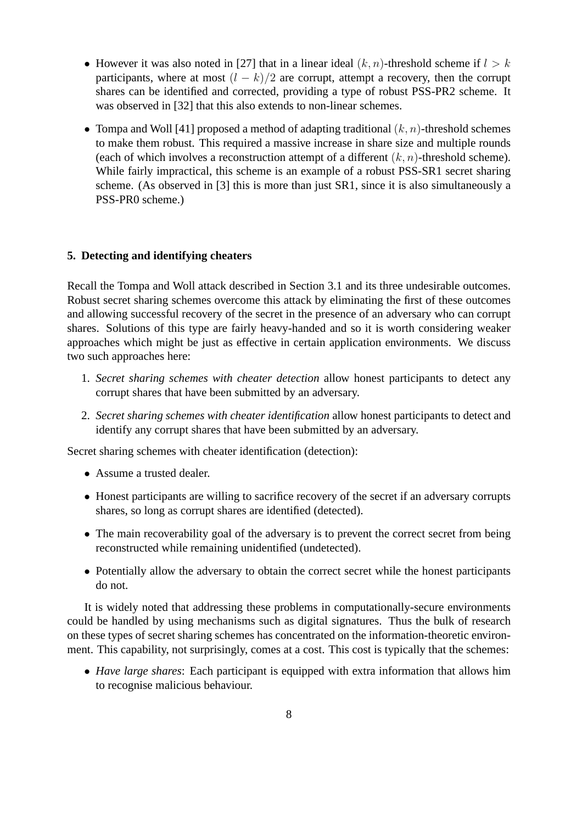- However it was also noted in [27] that in a linear ideal  $(k, n)$ -threshold scheme if  $l > k$ participants, where at most  $(l - k)/2$  are corrupt, attempt a recovery, then the corrupt shares can be identified and corrected, providing a type of robust PSS-PR2 scheme. It was observed in [32] that this also extends to non-linear schemes.
- Tompa and Woll [41] proposed a method of adapting traditional  $(k, n)$ -threshold schemes to make them robust. This required a massive increase in share size and multiple rounds (each of which involves a reconstruction attempt of a different  $(k, n)$ -threshold scheme). While fairly impractical, this scheme is an example of a robust PSS-SR1 secret sharing scheme. (As observed in [3] this is more than just SR1, since it is also simultaneously a PSS-PR0 scheme.)

# **5. Detecting and identifying cheaters**

Recall the Tompa and Woll attack described in Section 3.1 and its three undesirable outcomes. Robust secret sharing schemes overcome this attack by eliminating the first of these outcomes and allowing successful recovery of the secret in the presence of an adversary who can corrupt shares. Solutions of this type are fairly heavy-handed and so it is worth considering weaker approaches which might be just as effective in certain application environments. We discuss two such approaches here:

- 1. *Secret sharing schemes with cheater detection* allow honest participants to detect any corrupt shares that have been submitted by an adversary.
- 2. *Secret sharing schemes with cheater identification* allow honest participants to detect and identify any corrupt shares that have been submitted by an adversary.

Secret sharing schemes with cheater identification (detection):

- Assume a trusted dealer.
- Honest participants are willing to sacrifice recovery of the secret if an adversary corrupts shares, so long as corrupt shares are identified (detected).
- The main recoverability goal of the adversary is to prevent the correct secret from being reconstructed while remaining unidentified (undetected).
- Potentially allow the adversary to obtain the correct secret while the honest participants do not.

It is widely noted that addressing these problems in computationally-secure environments could be handled by using mechanisms such as digital signatures. Thus the bulk of research on these types of secret sharing schemes has concentrated on the information-theoretic environment. This capability, not surprisingly, comes at a cost. This cost is typically that the schemes:

• *Have large shares*: Each participant is equipped with extra information that allows him to recognise malicious behaviour.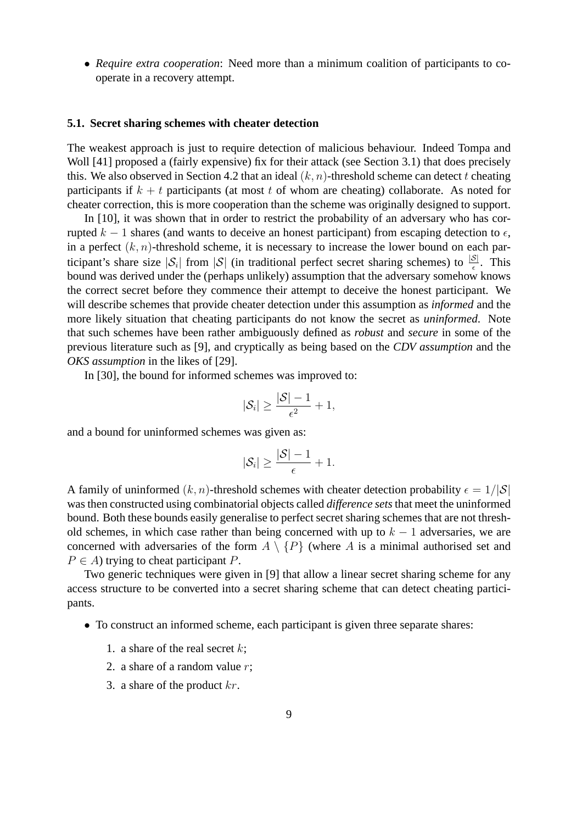• *Require extra cooperation*: Need more than a minimum coalition of participants to cooperate in a recovery attempt.

### **5.1. Secret sharing schemes with cheater detection**

The weakest approach is just to require detection of malicious behaviour. Indeed Tompa and Woll [41] proposed a (fairly expensive) fix for their attack (see Section 3.1) that does precisely this. We also observed in Section 4.2 that an ideal  $(k, n)$ -threshold scheme can detect t cheating participants if  $k + t$  participants (at most t of whom are cheating) collaborate. As noted for cheater correction, this is more cooperation than the scheme was originally designed to support.

In [10], it was shown that in order to restrict the probability of an adversary who has corrupted k – 1 shares (and wants to deceive an honest participant) from escaping detection to  $\epsilon$ , in a perfect  $(k, n)$ -threshold scheme, it is necessary to increase the lower bound on each participant's share size  $|S_i|$  from  $|S|$  (in traditional perfect secret sharing schemes) to  $\frac{|S|}{\epsilon}$ . This bound was derived under the (perhaps unlikely) assumption that the adversary somehow knows the correct secret before they commence their attempt to deceive the honest participant. We will describe schemes that provide cheater detection under this assumption as *informed* and the more likely situation that cheating participants do not know the secret as *uninformed*. Note that such schemes have been rather ambiguously defined as *robust* and *secure* in some of the previous literature such as [9], and cryptically as being based on the *CDV assumption* and the *OKS assumption* in the likes of [29].

In [30], the bound for informed schemes was improved to:

$$
|\mathcal{S}_i| \geq \frac{|\mathcal{S}| - 1}{\epsilon^2} + 1,
$$

and a bound for uninformed schemes was given as:

$$
|\mathcal{S}_i| \geq \frac{|\mathcal{S}| - 1}{\epsilon} + 1.
$$

A family of uninformed  $(k, n)$ -threshold schemes with cheater detection probability  $\epsilon = 1/|\mathcal{S}|$ was then constructed using combinatorial objects called *difference sets* that meet the uninformed bound. Both these bounds easily generalise to perfect secret sharing schemes that are not threshold schemes, in which case rather than being concerned with up to  $k - 1$  adversaries, we are concerned with adversaries of the form  $A \setminus \{P\}$  (where A is a minimal authorised set and  $P \in A$ ) trying to cheat participant P.

Two generic techniques were given in [9] that allow a linear secret sharing scheme for any access structure to be converted into a secret sharing scheme that can detect cheating participants.

- To construct an informed scheme, each participant is given three separate shares:
	- 1. a share of the real secret  $k$ ;
	- 2. a share of a random value  $r$ ;
	- 3. a share of the product  $kr$ .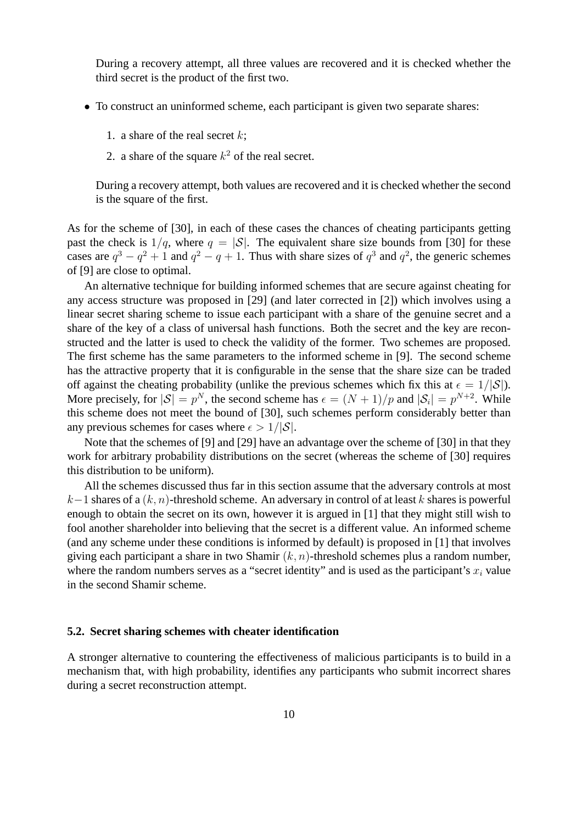During a recovery attempt, all three values are recovered and it is checked whether the third secret is the product of the first two.

- To construct an uninformed scheme, each participant is given two separate shares:
	- 1. a share of the real secret  $k$ ;
	- 2. a share of the square  $k^2$  of the real secret.

During a recovery attempt, both values are recovered and it is checked whether the second is the square of the first.

As for the scheme of [30], in each of these cases the chances of cheating participants getting past the check is  $1/q$ , where  $q = |\mathcal{S}|$ . The equivalent share size bounds from [30] for these cases are  $q^3 - q^2 + 1$  and  $q^2 - q + 1$ . Thus with share sizes of  $q^3$  and  $q^2$ , the generic schemes of [9] are close to optimal.

An alternative technique for building informed schemes that are secure against cheating for any access structure was proposed in [29] (and later corrected in [2]) which involves using a linear secret sharing scheme to issue each participant with a share of the genuine secret and a share of the key of a class of universal hash functions. Both the secret and the key are reconstructed and the latter is used to check the validity of the former. Two schemes are proposed. The first scheme has the same parameters to the informed scheme in [9]. The second scheme has the attractive property that it is configurable in the sense that the share size can be traded off against the cheating probability (unlike the previous schemes which fix this at  $\epsilon = 1/|\mathcal{S}|$ ). More precisely, for  $|S| = p^N$ , the second scheme has  $\epsilon = (N+1)/p$  and  $|S_i| = p^{N+2}$ . While this scheme does not meet the bound of [30], such schemes perform considerably better than any previous schemes for cases where  $\epsilon > 1/|\mathcal{S}|$ .

Note that the schemes of [9] and [29] have an advantage over the scheme of [30] in that they work for arbitrary probability distributions on the secret (whereas the scheme of [30] requires this distribution to be uniform).

All the schemes discussed thus far in this section assume that the adversary controls at most  $k-1$  shares of a  $(k, n)$ -threshold scheme. An adversary in control of at least k shares is powerful enough to obtain the secret on its own, however it is argued in [1] that they might still wish to fool another shareholder into believing that the secret is a different value. An informed scheme (and any scheme under these conditions is informed by default) is proposed in [1] that involves giving each participant a share in two Shamir  $(k, n)$ -threshold schemes plus a random number, where the random numbers serves as a "secret identity" and is used as the participant's  $x_i$  value in the second Shamir scheme.

#### **5.2. Secret sharing schemes with cheater identification**

A stronger alternative to countering the effectiveness of malicious participants is to build in a mechanism that, with high probability, identifies any participants who submit incorrect shares during a secret reconstruction attempt.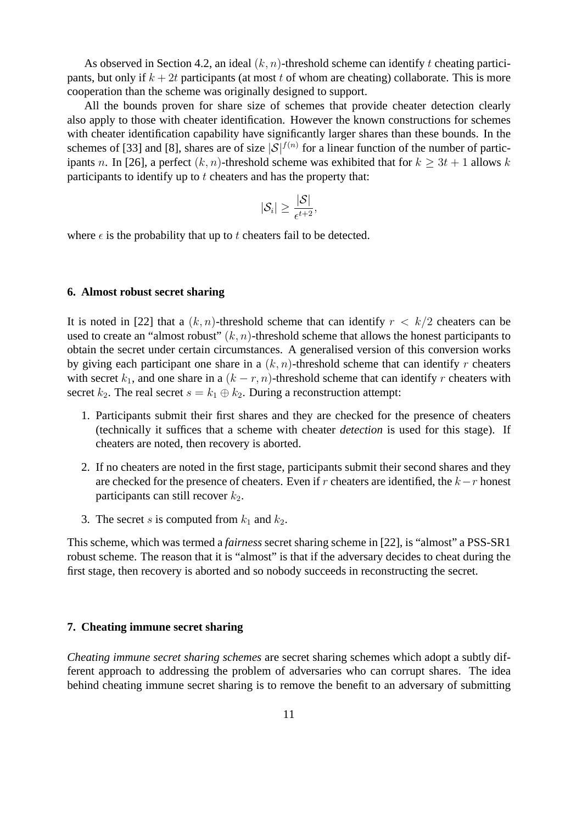As observed in Section 4.2, an ideal  $(k, n)$ -threshold scheme can identify t cheating participants, but only if  $k + 2t$  participants (at most t of whom are cheating) collaborate. This is more cooperation than the scheme was originally designed to support.

All the bounds proven for share size of schemes that provide cheater detection clearly also apply to those with cheater identification. However the known constructions for schemes with cheater identification capability have significantly larger shares than these bounds. In the schemes of [33] and [8], shares are of size  $|\mathcal{S}|^{f(n)}$  for a linear function of the number of participants n. In [26], a perfect  $(k, n)$ -threshold scheme was exhibited that for  $k \geq 3t + 1$  allows k participants to identify up to  $t$  cheaters and has the property that:

$$
|\mathcal{S}_i| \geq \frac{|\mathcal{S}|}{\epsilon^{t+2}},
$$

where  $\epsilon$  is the probability that up to t cheaters fail to be detected.

# **6. Almost robust secret sharing**

It is noted in [22] that a  $(k, n)$ -threshold scheme that can identify  $r < k/2$  cheaters can be used to create an "almost robust"  $(k, n)$ -threshold scheme that allows the honest participants to obtain the secret under certain circumstances. A generalised version of this conversion works by giving each participant one share in a  $(k, n)$ -threshold scheme that can identify r cheaters with secret  $k_1$ , and one share in a  $(k - r, n)$ -threshold scheme that can identify r cheaters with secret  $k_2$ . The real secret  $s = k_1 \oplus k_2$ . During a reconstruction attempt:

- 1. Participants submit their first shares and they are checked for the presence of cheaters (technically it suffices that a scheme with cheater *detection* is used for this stage). If cheaters are noted, then recovery is aborted.
- 2. If no cheaters are noted in the first stage, participants submit their second shares and they are checked for the presence of cheaters. Even if r cheaters are identified, the k−r honest participants can still recover  $k_2$ .
- 3. The secret s is computed from  $k_1$  and  $k_2$ .

This scheme, which was termed a *fairness* secret sharing scheme in [22], is "almost" a PSS-SR1 robust scheme. The reason that it is "almost" is that if the adversary decides to cheat during the first stage, then recovery is aborted and so nobody succeeds in reconstructing the secret.

# **7. Cheating immune secret sharing**

*Cheating immune secret sharing schemes* are secret sharing schemes which adopt a subtly different approach to addressing the problem of adversaries who can corrupt shares. The idea behind cheating immune secret sharing is to remove the benefit to an adversary of submitting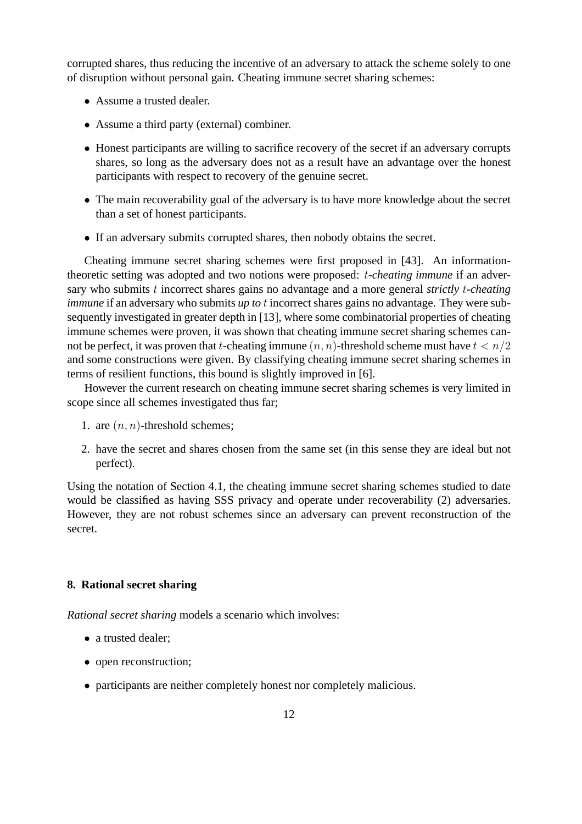corrupted shares, thus reducing the incentive of an adversary to attack the scheme solely to one of disruption without personal gain. Cheating immune secret sharing schemes:

- Assume a trusted dealer.
- Assume a third party (external) combiner.
- Honest participants are willing to sacrifice recovery of the secret if an adversary corrupts shares, so long as the adversary does not as a result have an advantage over the honest participants with respect to recovery of the genuine secret.
- The main recoverability goal of the adversary is to have more knowledge about the secret than a set of honest participants.
- If an adversary submits corrupted shares, then nobody obtains the secret.

Cheating immune secret sharing schemes were first proposed in [43]. An informationtheoretic setting was adopted and two notions were proposed: t*-cheating immune* if an adversary who submits t incorrect shares gains no advantage and a more general *strictly* t*-cheating immune* if an adversary who submits *up to t* incorrect shares gains no advantage. They were subsequently investigated in greater depth in [13], where some combinatorial properties of cheating immune schemes were proven, it was shown that cheating immune secret sharing schemes cannot be perfect, it was proven that t-cheating immune  $(n, n)$ -threshold scheme must have  $t < n/2$ and some constructions were given. By classifying cheating immune secret sharing schemes in terms of resilient functions, this bound is slightly improved in [6].

However the current research on cheating immune secret sharing schemes is very limited in scope since all schemes investigated thus far;

- 1. are  $(n, n)$ -threshold schemes;
- 2. have the secret and shares chosen from the same set (in this sense they are ideal but not perfect).

Using the notation of Section 4.1, the cheating immune secret sharing schemes studied to date would be classified as having SSS privacy and operate under recoverability (2) adversaries. However, they are not robust schemes since an adversary can prevent reconstruction of the secret.

# **8. Rational secret sharing**

*Rational secret sharing* models a scenario which involves:

- a trusted dealer:
- open reconstruction;
- participants are neither completely honest nor completely malicious.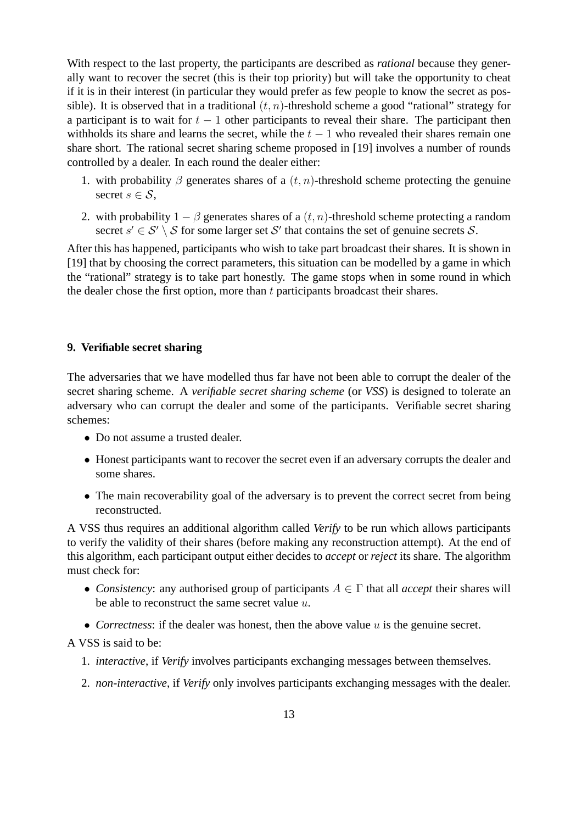With respect to the last property, the participants are described as *rational* because they generally want to recover the secret (this is their top priority) but will take the opportunity to cheat if it is in their interest (in particular they would prefer as few people to know the secret as possible). It is observed that in a traditional  $(t, n)$ -threshold scheme a good "rational" strategy for a participant is to wait for  $t - 1$  other participants to reveal their share. The participant then withholds its share and learns the secret, while the  $t - 1$  who revealed their shares remain one share short. The rational secret sharing scheme proposed in [19] involves a number of rounds controlled by a dealer. In each round the dealer either:

- 1. with probability  $\beta$  generates shares of a  $(t, n)$ -threshold scheme protecting the genuine secret  $s \in \mathcal{S}$ ,
- 2. with probability  $1 \beta$  generates shares of a  $(t, n)$ -threshold scheme protecting a random secret  $s' \in \mathcal{S}' \setminus \mathcal{S}$  for some larger set  $\mathcal{S}'$  that contains the set of genuine secrets  $\mathcal{S}$ .

After this has happened, participants who wish to take part broadcast their shares. It is shown in [19] that by choosing the correct parameters, this situation can be modelled by a game in which the "rational" strategy is to take part honestly. The game stops when in some round in which the dealer chose the first option, more than  $t$  participants broadcast their shares.

# **9. Verifiable secret sharing**

The adversaries that we have modelled thus far have not been able to corrupt the dealer of the secret sharing scheme. A *verifiable secret sharing scheme* (or *VSS*) is designed to tolerate an adversary who can corrupt the dealer and some of the participants. Verifiable secret sharing schemes:

- Do not assume a trusted dealer.
- Honest participants want to recover the secret even if an adversary corrupts the dealer and some shares.
- The main recoverability goal of the adversary is to prevent the correct secret from being reconstructed.

A VSS thus requires an additional algorithm called *Verify* to be run which allows participants to verify the validity of their shares (before making any reconstruction attempt). At the end of this algorithm, each participant output either decides to *accept* or *reject* its share. The algorithm must check for:

- *Consistency*: any authorised group of participants  $A \in \Gamma$  that all *accept* their shares will be able to reconstruct the same secret value  $u$ .
- *Correctness*: if the dealer was honest, then the above value u is the genuine secret.

A VSS is said to be:

- 1. *interactive*, if *Verify* involves participants exchanging messages between themselves.
- 2. *non-interactive*, if *Verify* only involves participants exchanging messages with the dealer.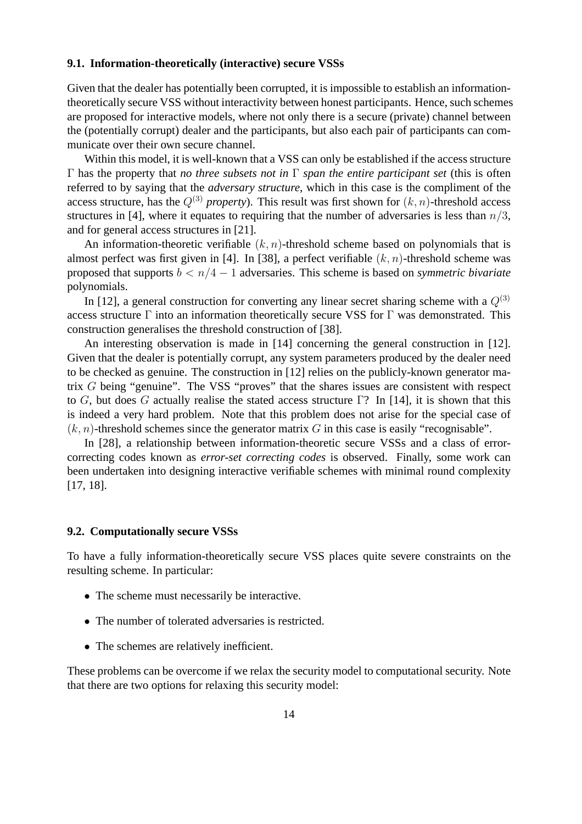## **9.1. Information-theoretically (interactive) secure VSSs**

Given that the dealer has potentially been corrupted, it is impossible to establish an informationtheoretically secure VSS without interactivity between honest participants. Hence, such schemes are proposed for interactive models, where not only there is a secure (private) channel between the (potentially corrupt) dealer and the participants, but also each pair of participants can communicate over their own secure channel.

Within this model, it is well-known that a VSS can only be established if the access structure Γ has the property that *no three subsets not in* Γ *span the entire participant set* (this is often referred to by saying that the *adversary structure*, which in this case is the compliment of the access structure, has the  $Q^{(3)}$  *property*). This result was first shown for  $(k, n)$ -threshold access structures in [4], where it equates to requiring that the number of adversaries is less than  $n/3$ , and for general access structures in [21].

An information-theoretic verifiable  $(k, n)$ -threshold scheme based on polynomials that is almost perfect was first given in [4]. In [38], a perfect verifiable  $(k, n)$ -threshold scheme was proposed that supports b < n/4 − 1 adversaries. This scheme is based on *symmetric bivariate* polynomials.

In [12], a general construction for converting any linear secret sharing scheme with a  $Q^{(3)}$ access structure  $\Gamma$  into an information theoretically secure VSS for  $\Gamma$  was demonstrated. This construction generalises the threshold construction of [38].

An interesting observation is made in [14] concerning the general construction in [12]. Given that the dealer is potentially corrupt, any system parameters produced by the dealer need to be checked as genuine. The construction in [12] relies on the publicly-known generator matrix G being "genuine". The VSS "proves" that the shares issues are consistent with respect to G, but does G actually realise the stated access structure  $\Gamma$ ? In [14], it is shown that this is indeed a very hard problem. Note that this problem does not arise for the special case of  $(k, n)$ -threshold schemes since the generator matrix G in this case is easily "recognisable".

In [28], a relationship between information-theoretic secure VSSs and a class of errorcorrecting codes known as *error-set correcting codes* is observed. Finally, some work can been undertaken into designing interactive verifiable schemes with minimal round complexity [17, 18].

## **9.2. Computationally secure VSSs**

To have a fully information-theoretically secure VSS places quite severe constraints on the resulting scheme. In particular:

- The scheme must necessarily be interactive.
- The number of tolerated adversaries is restricted.
- The schemes are relatively inefficient.

These problems can be overcome if we relax the security model to computational security. Note that there are two options for relaxing this security model: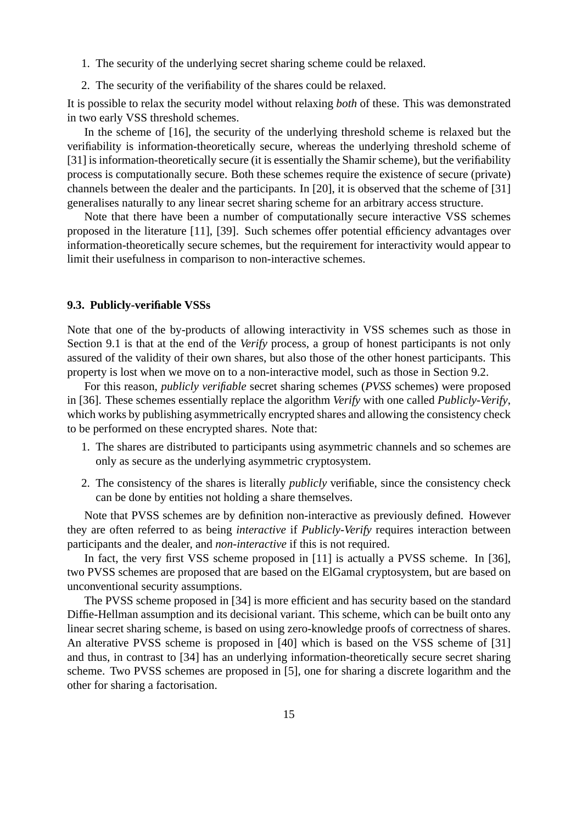- 1. The security of the underlying secret sharing scheme could be relaxed.
- 2. The security of the verifiability of the shares could be relaxed.

It is possible to relax the security model without relaxing *both* of these. This was demonstrated in two early VSS threshold schemes.

In the scheme of [16], the security of the underlying threshold scheme is relaxed but the verifiability is information-theoretically secure, whereas the underlying threshold scheme of [31] is information-theoretically secure (it is essentially the Shamir scheme), but the verifiability process is computationally secure. Both these schemes require the existence of secure (private) channels between the dealer and the participants. In [20], it is observed that the scheme of [31] generalises naturally to any linear secret sharing scheme for an arbitrary access structure.

Note that there have been a number of computationally secure interactive VSS schemes proposed in the literature [11], [39]. Such schemes offer potential efficiency advantages over information-theoretically secure schemes, but the requirement for interactivity would appear to limit their usefulness in comparison to non-interactive schemes.

### **9.3. Publicly-verifiable VSSs**

Note that one of the by-products of allowing interactivity in VSS schemes such as those in Section 9.1 is that at the end of the *Verify* process, a group of honest participants is not only assured of the validity of their own shares, but also those of the other honest participants. This property is lost when we move on to a non-interactive model, such as those in Section 9.2.

For this reason, *publicly verifiable* secret sharing schemes (*PVSS* schemes) were proposed in [36]. These schemes essentially replace the algorithm *Verify* with one called *Publicly-Verify*, which works by publishing asymmetrically encrypted shares and allowing the consistency check to be performed on these encrypted shares. Note that:

- 1. The shares are distributed to participants using asymmetric channels and so schemes are only as secure as the underlying asymmetric cryptosystem.
- 2. The consistency of the shares is literally *publicly* verifiable, since the consistency check can be done by entities not holding a share themselves.

Note that PVSS schemes are by definition non-interactive as previously defined. However they are often referred to as being *interactive* if *Publicly-Verify* requires interaction between participants and the dealer, and *non-interactive* if this is not required.

In fact, the very first VSS scheme proposed in [11] is actually a PVSS scheme. In [36], two PVSS schemes are proposed that are based on the ElGamal cryptosystem, but are based on unconventional security assumptions.

The PVSS scheme proposed in [34] is more efficient and has security based on the standard Diffie-Hellman assumption and its decisional variant. This scheme, which can be built onto any linear secret sharing scheme, is based on using zero-knowledge proofs of correctness of shares. An alterative PVSS scheme is proposed in [40] which is based on the VSS scheme of [31] and thus, in contrast to [34] has an underlying information-theoretically secure secret sharing scheme. Two PVSS schemes are proposed in [5], one for sharing a discrete logarithm and the other for sharing a factorisation.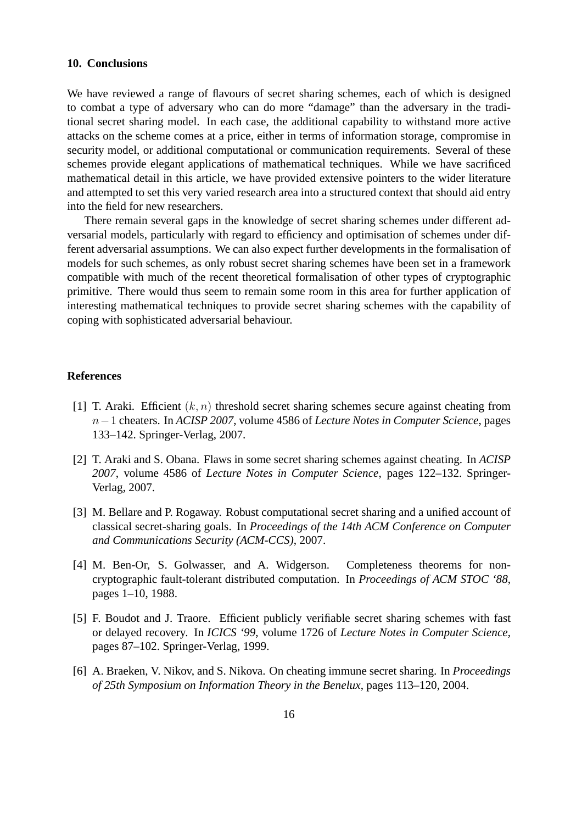# **10. Conclusions**

We have reviewed a range of flavours of secret sharing schemes, each of which is designed to combat a type of adversary who can do more "damage" than the adversary in the traditional secret sharing model. In each case, the additional capability to withstand more active attacks on the scheme comes at a price, either in terms of information storage, compromise in security model, or additional computational or communication requirements. Several of these schemes provide elegant applications of mathematical techniques. While we have sacrificed mathematical detail in this article, we have provided extensive pointers to the wider literature and attempted to set this very varied research area into a structured context that should aid entry into the field for new researchers.

There remain several gaps in the knowledge of secret sharing schemes under different adversarial models, particularly with regard to efficiency and optimisation of schemes under different adversarial assumptions. We can also expect further developments in the formalisation of models for such schemes, as only robust secret sharing schemes have been set in a framework compatible with much of the recent theoretical formalisation of other types of cryptographic primitive. There would thus seem to remain some room in this area for further application of interesting mathematical techniques to provide secret sharing schemes with the capability of coping with sophisticated adversarial behaviour.

#### **References**

- [1] T. Araki. Efficient  $(k, n)$  threshold secret sharing schemes secure against cheating from n−1 cheaters. In *ACISP 2007*, volume 4586 of *Lecture Notes in Computer Science*, pages 133–142. Springer-Verlag, 2007.
- [2] T. Araki and S. Obana. Flaws in some secret sharing schemes against cheating. In *ACISP 2007*, volume 4586 of *Lecture Notes in Computer Science*, pages 122–132. Springer-Verlag, 2007.
- [3] M. Bellare and P. Rogaway. Robust computational secret sharing and a unified account of classical secret-sharing goals. In *Proceedings of the 14th ACM Conference on Computer and Communications Security (ACM-CCS)*, 2007.
- [4] M. Ben-Or, S. Golwasser, and A. Widgerson. Completeness theorems for noncryptographic fault-tolerant distributed computation. In *Proceedings of ACM STOC '88*, pages 1–10, 1988.
- [5] F. Boudot and J. Traore. Efficient publicly verifiable secret sharing schemes with fast or delayed recovery. In *ICICS '99*, volume 1726 of *Lecture Notes in Computer Science*, pages 87–102. Springer-Verlag, 1999.
- [6] A. Braeken, V. Nikov, and S. Nikova. On cheating immune secret sharing. In *Proceedings of 25th Symposium on Information Theory in the Benelux*, pages 113–120, 2004.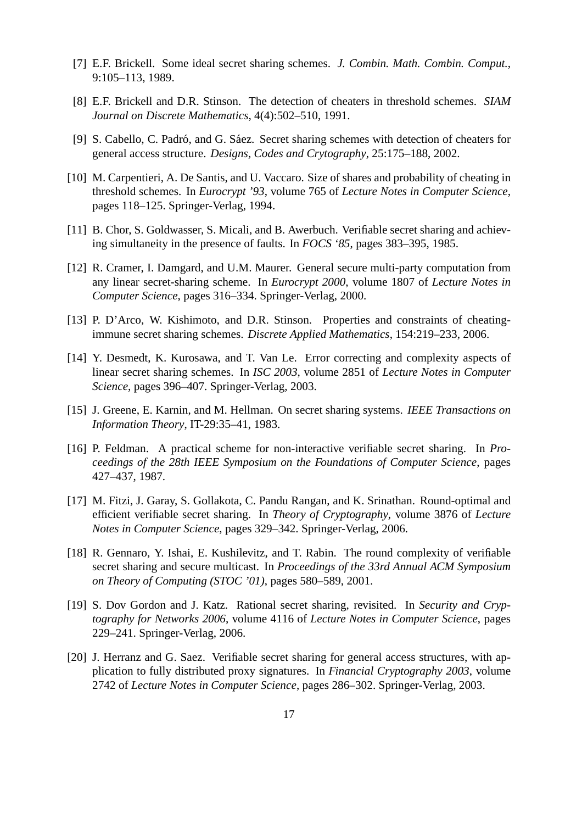- [7] E.F. Brickell. Some ideal secret sharing schemes. *J. Combin. Math. Combin. Comput.*, 9:105–113, 1989.
- [8] E.F. Brickell and D.R. Stinson. The detection of cheaters in threshold schemes. *SIAM Journal on Discrete Mathematics*, 4(4):502–510, 1991.
- [9] S. Cabello, C. Padró, and G. Sáez. Secret sharing schemes with detection of cheaters for general access structure. *Designs, Codes and Crytography*, 25:175–188, 2002.
- [10] M. Carpentieri, A. De Santis, and U. Vaccaro. Size of shares and probability of cheating in threshold schemes. In *Eurocrypt '93*, volume 765 of *Lecture Notes in Computer Science*, pages 118–125. Springer-Verlag, 1994.
- [11] B. Chor, S. Goldwasser, S. Micali, and B. Awerbuch. Verifiable secret sharing and achieving simultaneity in the presence of faults. In *FOCS '85*, pages 383–395, 1985.
- [12] R. Cramer, I. Damgard, and U.M. Maurer. General secure multi-party computation from any linear secret-sharing scheme. In *Eurocrypt 2000*, volume 1807 of *Lecture Notes in Computer Science*, pages 316–334. Springer-Verlag, 2000.
- [13] P. D'Arco, W. Kishimoto, and D.R. Stinson. Properties and constraints of cheatingimmune secret sharing schemes. *Discrete Applied Mathematics*, 154:219–233, 2006.
- [14] Y. Desmedt, K. Kurosawa, and T. Van Le. Error correcting and complexity aspects of linear secret sharing schemes. In *ISC 2003*, volume 2851 of *Lecture Notes in Computer Science*, pages 396–407. Springer-Verlag, 2003.
- [15] J. Greene, E. Karnin, and M. Hellman. On secret sharing systems. *IEEE Transactions on Information Theory*, IT-29:35–41, 1983.
- [16] P. Feldman. A practical scheme for non-interactive verifiable secret sharing. In *Proceedings of the 28th IEEE Symposium on the Foundations of Computer Science*, pages 427–437, 1987.
- [17] M. Fitzi, J. Garay, S. Gollakota, C. Pandu Rangan, and K. Srinathan. Round-optimal and efficient verifiable secret sharing. In *Theory of Cryptography*, volume 3876 of *Lecture Notes in Computer Science*, pages 329–342. Springer-Verlag, 2006.
- [18] R. Gennaro, Y. Ishai, E. Kushilevitz, and T. Rabin. The round complexity of verifiable secret sharing and secure multicast. In *Proceedings of the 33rd Annual ACM Symposium on Theory of Computing (STOC '01)*, pages 580–589, 2001.
- [19] S. Dov Gordon and J. Katz. Rational secret sharing, revisited. In *Security and Cryptography for Networks 2006*, volume 4116 of *Lecture Notes in Computer Science*, pages 229–241. Springer-Verlag, 2006.
- [20] J. Herranz and G. Saez. Verifiable secret sharing for general access structures, with application to fully distributed proxy signatures. In *Financial Cryptography 2003*, volume 2742 of *Lecture Notes in Computer Science*, pages 286–302. Springer-Verlag, 2003.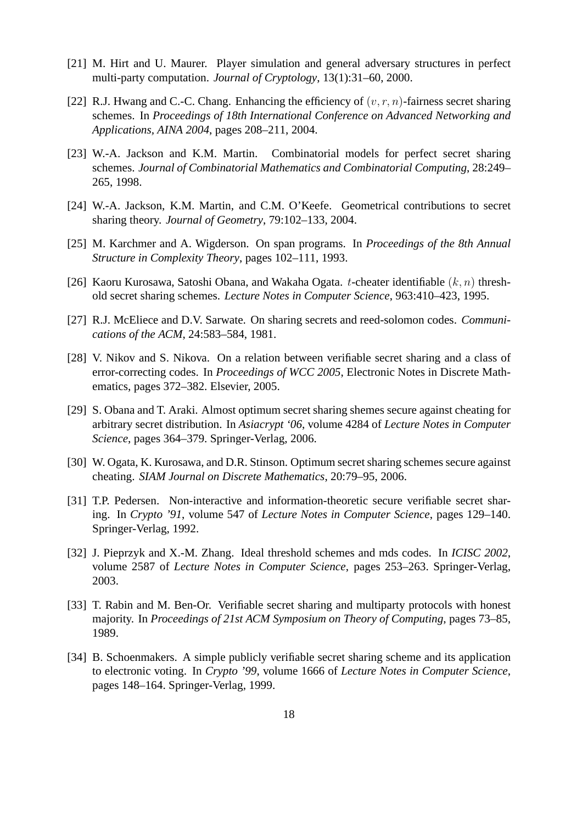- [21] M. Hirt and U. Maurer. Player simulation and general adversary structures in perfect multi-party computation. *Journal of Cryptology*, 13(1):31–60, 2000.
- [22] R.J. Hwang and C.-C. Chang. Enhancing the efficiency of  $(v, r, n)$ -fairness secret sharing schemes. In *Proceedings of 18th International Conference on Advanced Networking and Applications, AINA 2004*, pages 208–211, 2004.
- [23] W.-A. Jackson and K.M. Martin. Combinatorial models for perfect secret sharing schemes. *Journal of Combinatorial Mathematics and Combinatorial Computing*, 28:249– 265, 1998.
- [24] W.-A. Jackson, K.M. Martin, and C.M. O'Keefe. Geometrical contributions to secret sharing theory. *Journal of Geometry*, 79:102–133, 2004.
- [25] M. Karchmer and A. Wigderson. On span programs. In *Proceedings of the 8th Annual Structure in Complexity Theory*, pages 102–111, 1993.
- [26] Kaoru Kurosawa, Satoshi Obana, and Wakaha Ogata. t-cheater identifiable  $(k, n)$  threshold secret sharing schemes. *Lecture Notes in Computer Science*, 963:410–423, 1995.
- [27] R.J. McEliece and D.V. Sarwate. On sharing secrets and reed-solomon codes. *Communications of the ACM*, 24:583–584, 1981.
- [28] V. Nikov and S. Nikova. On a relation between verifiable secret sharing and a class of error-correcting codes. In *Proceedings of WCC 2005*, Electronic Notes in Discrete Mathematics, pages 372–382. Elsevier, 2005.
- [29] S. Obana and T. Araki. Almost optimum secret sharing shemes secure against cheating for arbitrary secret distribution. In *Asiacrypt '06*, volume 4284 of *Lecture Notes in Computer Science*, pages 364–379. Springer-Verlag, 2006.
- [30] W. Ogata, K. Kurosawa, and D.R. Stinson. Optimum secret sharing schemes secure against cheating. *SIAM Journal on Discrete Mathematics*, 20:79–95, 2006.
- [31] T.P. Pedersen. Non-interactive and information-theoretic secure verifiable secret sharing. In *Crypto '91*, volume 547 of *Lecture Notes in Computer Science*, pages 129–140. Springer-Verlag, 1992.
- [32] J. Pieprzyk and X.-M. Zhang. Ideal threshold schemes and mds codes. In *ICISC 2002*, volume 2587 of *Lecture Notes in Computer Science*, pages 253–263. Springer-Verlag, 2003.
- [33] T. Rabin and M. Ben-Or. Verifiable secret sharing and multiparty protocols with honest majority. In *Proceedings of 21st ACM Symposium on Theory of Computing*, pages 73–85, 1989.
- [34] B. Schoenmakers. A simple publicly verifiable secret sharing scheme and its application to electronic voting. In *Crypto '99*, volume 1666 of *Lecture Notes in Computer Science*, pages 148–164. Springer-Verlag, 1999.